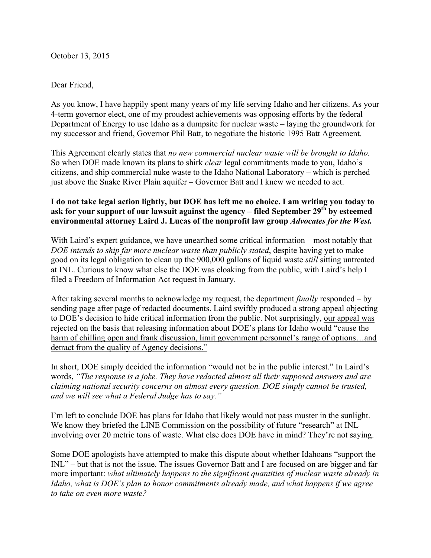October 13, 2015

## Dear Friend,

As you know, I have happily spent many years of my life serving Idaho and her citizens. As your 4-term governor elect, one of my proudest achievements was opposing efforts by the federal Department of Energy to use Idaho as a dumpsite for nuclear waste – laying the groundwork for my successor and friend, Governor Phil Batt, to negotiate the historic 1995 Batt Agreement.

This Agreement clearly states that *no new commercial nuclear waste will be brought to Idaho.*  So when DOE made known its plans to shirk *clear* legal commitments made to you, Idaho's citizens, and ship commercial nuke waste to the Idaho National Laboratory – which is perched just above the Snake River Plain aquifer – Governor Batt and I knew we needed to act.

## **I do not take legal action lightly, but DOE has left me no choice. I am writing you today to ask for your support of our lawsuit against the agency – filed September 29th by esteemed environmental attorney Laird J. Lucas of the nonprofit law group** *Advocates for the West.*

With Laird's expert guidance, we have unearthed some critical information – most notably that *DOE intends to ship far more nuclear waste than publicly stated*, despite having yet to make good on its legal obligation to clean up the 900,000 gallons of liquid waste *still* sitting untreated at INL. Curious to know what else the DOE was cloaking from the public, with Laird's help I filed a Freedom of Information Act request in January.

After taking several months to acknowledge my request, the department *finally* responded – by sending page after page of redacted documents. Laird swiftly produced a strong appeal objecting to DOE's decision to hide critical information from the public. Not surprisingly, our appeal was rejected on the basis that releasing information about DOE's plans for Idaho would "cause the harm of chilling open and frank discussion, limit government personnel's range of options...and detract from the quality of Agency decisions."

In short, DOE simply decided the information "would not be in the public interest." In Laird's words, *"The response is a joke. They have redacted almost all their supposed answers and are claiming national security concerns on almost every question. DOE simply cannot be trusted, and we will see what a Federal Judge has to say."*

I'm left to conclude DOE has plans for Idaho that likely would not pass muster in the sunlight. We know they briefed the LINE Commission on the possibility of future "research" at INL involving over 20 metric tons of waste. What else does DOE have in mind? They're not saying.

Some DOE apologists have attempted to make this dispute about whether Idahoans "support the INL" – but that is not the issue. The issues Governor Batt and I are focused on are bigger and far more important: *what ultimately happens to the significant quantities of nuclear waste already in Idaho, what is DOE's plan to honor commitments already made, and what happens if we agree to take on even more waste?*